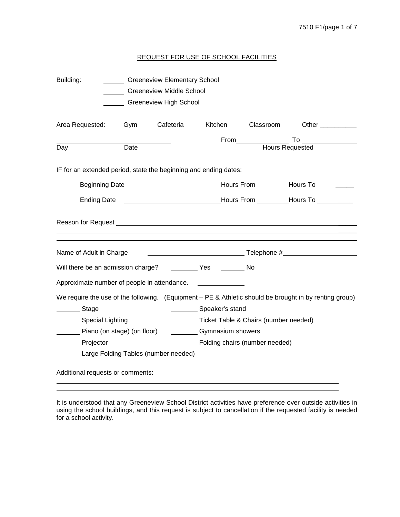# REQUEST FOR USE OF SCHOOL FACILITIES

| Building:<br><b>Greeneview Elementary School</b><br><b>Greeneview Middle School</b><br>Greeneview High School                                             |                                                                                                                                                                                                                                                                                 |  |  |  |  |
|-----------------------------------------------------------------------------------------------------------------------------------------------------------|---------------------------------------------------------------------------------------------------------------------------------------------------------------------------------------------------------------------------------------------------------------------------------|--|--|--|--|
|                                                                                                                                                           | Area Requested: Com Cafeteria Cafeteria Chichen Classroom Commercial Chiner Communism                                                                                                                                                                                           |  |  |  |  |
| Date<br>Day                                                                                                                                               | Hours Requested                                                                                                                                                                                                                                                                 |  |  |  |  |
| IF for an extended period, state the beginning and ending dates:                                                                                          |                                                                                                                                                                                                                                                                                 |  |  |  |  |
|                                                                                                                                                           | Beginning Date___________________________________Hours From __________Hours To _________                                                                                                                                                                                        |  |  |  |  |
| <b>Ending Date</b>                                                                                                                                        |                                                                                                                                                                                                                                                                                 |  |  |  |  |
|                                                                                                                                                           |                                                                                                                                                                                                                                                                                 |  |  |  |  |
| Name of Adult in Charge                                                                                                                                   |                                                                                                                                                                                                                                                                                 |  |  |  |  |
|                                                                                                                                                           |                                                                                                                                                                                                                                                                                 |  |  |  |  |
| Approximate number of people in attendance.                                                                                                               |                                                                                                                                                                                                                                                                                 |  |  |  |  |
| Stage<br>Special Lighting<br>Piano (on stage) (on floor)<br><b>Projector</b><br>Large Folding Tables (number needed) Large Folding Tables (number needed) | We require the use of the following. (Equipment – PE & Athletic should be brought in by renting group)<br>___________ Speaker's stand<br>Ticket Table & Chairs (number needed) ______<br><b>Cymnasium showers</b><br>____________ Folding chairs (number needed)_______________ |  |  |  |  |
|                                                                                                                                                           |                                                                                                                                                                                                                                                                                 |  |  |  |  |

It is understood that any Greeneview School District activities have preference over outside activities in using the school buildings, and this request is subject to cancellation if the requested facility is needed for a school activity.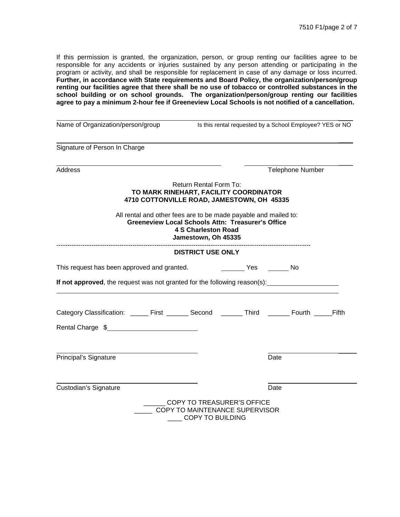If this permission is granted, the organization, person, or group renting our facilities agree to be responsible for any accidents or injuries sustained by any person attending or participating in the program or activity, and shall be responsible for replacement in case of any damage or loss incurred. **Further, in accordance with State requirements and Board Policy, the organization/person/group renting our facilities agree that there shall be no use of tobacco or controlled substances in the school building or on school grounds. The organization/person/group renting our facilities agree to pay a minimum 2-hour fee if Greeneview Local Schools is not notified of a cancellation.**

|                                                                                                                                                                                  | Name of Organization/person/group ls this rental requested by a School Employee? YES or NO |                                                              |      |  |  |
|----------------------------------------------------------------------------------------------------------------------------------------------------------------------------------|--------------------------------------------------------------------------------------------|--------------------------------------------------------------|------|--|--|
| Signature of Person In Charge                                                                                                                                                    |                                                                                            |                                                              |      |  |  |
| <b>Address</b>                                                                                                                                                                   |                                                                                            | Telephone Number                                             |      |  |  |
| TO MARK RINEHART, FACILITY COORDINATOR<br>4710 COTTONVILLE ROAD, JAMESTOWN, OH 45335                                                                                             | <b>Return Rental Form To:</b>                                                              |                                                              |      |  |  |
| All rental and other fees are to be made payable and mailed to:<br><b>Greeneview Local Schools Attn: Treasurer's Office</b><br><b>4 S Charleston Road</b><br>Jamestown, Oh 45335 |                                                                                            |                                                              |      |  |  |
|                                                                                                                                                                                  | <b>DISTRICT USE ONLY</b>                                                                   |                                                              |      |  |  |
| This request has been approved and granted.                                                                                                                                      |                                                                                            |                                                              |      |  |  |
| If not approved, the request was not granted for the following reason(s):                                                                                                        |                                                                                            |                                                              |      |  |  |
| Category Classification: ______ First _______ Second _______ Third ______ Fourth _____Fifth<br>Rental Charge \$                                                                  |                                                                                            |                                                              |      |  |  |
|                                                                                                                                                                                  |                                                                                            |                                                              |      |  |  |
| Principal's Signature                                                                                                                                                            |                                                                                            |                                                              | Date |  |  |
| Custodian's Signature                                                                                                                                                            |                                                                                            |                                                              | Date |  |  |
|                                                                                                                                                                                  | <b>COPY TO BUILDING</b>                                                                    | COPY TO TREASURER'S OFFICE<br>COPY TO MAINTENANCE SUPERVISOR |      |  |  |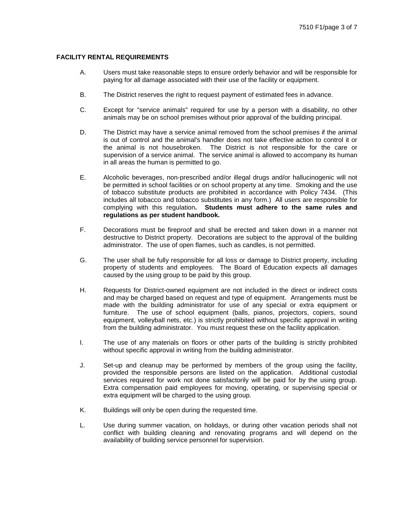# **FACILITY RENTAL REQUIREMENTS**

- A. Users must take reasonable steps to ensure orderly behavior and will be responsible for paying for all damage associated with their use of the facility or equipment.
- B. The District reserves the right to request payment of estimated fees in advance.
- C. Except for "service animals" required for use by a person with a disability, no other animals may be on school premises without prior approval of the building principal.
- D. The District may have a service animal removed from the school premises if the animal is out of control and the animal's handler does not take effective action to control it or the animal is not housebroken. The District is not responsible for the care or supervision of a service animal. The service animal is allowed to accompany its human in all areas the human is permitted to go.
- E. Alcoholic beverages, non-prescribed and/or illegal drugs and/or hallucinogenic will not be permitted in school facilities or on school property at any time. Smoking and the use of tobacco substitute products are prohibited in accordance with Policy [7434.](http://www.neola.com/greeneview-oh/search%5Cpolicies/po7434.htm) (This includes all tobacco and tobacco substitutes in any form.) All users are responsible for complying with this regulation**. Students must adhere to the same rules and regulations as per student handbook.**
- F. Decorations must be fireproof and shall be erected and taken down in a manner not destructive to District property. Decorations are subject to the approval of the building administrator. The use of open flames, such as candles, is not permitted.
- G. The user shall be fully responsible for all loss or damage to District property, including property of students and employees. The Board of Education expects all damages caused by the using group to be paid by this group.
- H. Requests for District-owned equipment are not included in the direct or indirect costs and may be charged based on request and type of equipment. Arrangements must be made with the building administrator for use of any special or extra equipment or furniture. The use of school equipment (balls, pianos, projectors, copiers, sound equipment, volleyball nets, etc.) is strictly prohibited without specific approval in writing from the building administrator. You must request these on the facility application.
- I. The use of any materials on floors or other parts of the building is strictly prohibited without specific approval in writing from the building administrator.
- J. Set-up and cleanup may be performed by members of the group using the facility, provided the responsible persons are listed on the application. Additional custodial services required for work not done satisfactorily will be paid for by the using group. Extra compensation paid employees for moving, operating, or supervising special or extra equipment will be charged to the using group.
- K. Buildings will only be open during the requested time.
- L. Use during summer vacation, on holidays, or during other vacation periods shall not conflict with building cleaning and renovating programs and will depend on the availability of building service personnel for supervision.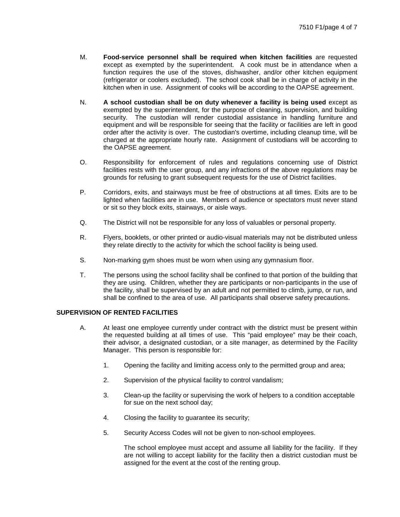- M. **Food-service personnel shall be required when kitchen facilities** are requested except as exempted by the superintendent. A cook must be in attendance when a function requires the use of the stoves, dishwasher, and/or other kitchen equipment (refrigerator or coolers excluded). The school cook shall be in charge of activity in the kitchen when in use. Assignment of cooks will be according to the OAPSE agreement.
- N. **A school custodian shall be on duty whenever a facility is being used** except as exempted by the superintendent, for the purpose of cleaning, supervision, and building security. The custodian will render custodial assistance in handling furniture and equipment and will be responsible for seeing that the facility or facilities are left in good order after the activity is over. The custodian's overtime, including cleanup time, will be charged at the appropriate hourly rate. Assignment of custodians will be according to the OAPSE agreement.
- O. Responsibility for enforcement of rules and regulations concerning use of District facilities rests with the user group, and any infractions of the above regulations may be grounds for refusing to grant subsequent requests for the use of District facilities.
- P. Corridors, exits, and stairways must be free of obstructions at all times. Exits are to be lighted when facilities are in use. Members of audience or spectators must never stand or sit so they block exits, stairways, or aisle ways.
- Q. The District will not be responsible for any loss of valuables or personal property.
- R. Flyers, booklets, or other printed or audio-visual materials may not be distributed unless they relate directly to the activity for which the school facility is being used.
- S. Non-marking gym shoes must be worn when using any gymnasium floor.
- T. The persons using the school facility shall be confined to that portion of the building that they are using. Children, whether they are participants or non-participants in the use of the facility, shall be supervised by an adult and not permitted to climb, jump, or run, and shall be confined to the area of use. All participants shall observe safety precautions.

## **SUPERVISION OF RENTED FACILITIES**

- A. At least one employee currently under contract with the district must be present within the requested building at all times of use. This "paid employee" may be their coach, their advisor, a designated custodian, or a site manager, as determined by the Facility Manager. This person is responsible for:
	- 1. Opening the facility and limiting access only to the permitted group and area;
	- 2. Supervision of the physical facility to control vandalism;
	- 3. Clean-up the facility or supervising the work of helpers to a condition acceptable for sue on the next school day;
	- 4. Closing the facility to guarantee its security;
	- 5. Security Access Codes will not be given to non-school employees.

The school employee must accept and assume all liability for the facility. If they are not willing to accept liability for the facility then a district custodian must be assigned for the event at the cost of the renting group.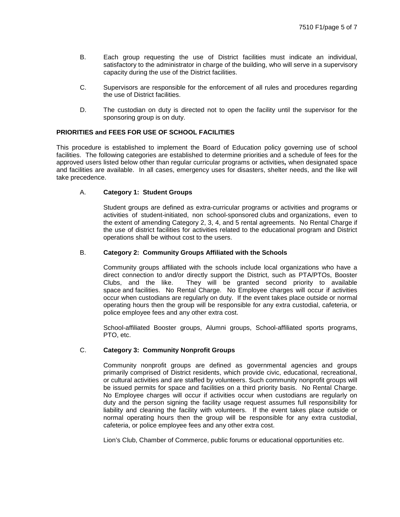- B. Each group requesting the use of District facilities must indicate an individual, satisfactory to the administrator in charge of the building, who will serve in a supervisory capacity during the use of the District facilities.
- C. Supervisors are responsible for the enforcement of all rules and procedures regarding the use of District facilities.
- D. The custodian on duty is directed not to open the facility until the supervisor for the sponsoring group is on duty.

## **PRIORITIES and FEES FOR USE OF SCHOOL FACILITIES**

This procedure is established to implement the Board of Education policy governing use of school facilities. The following categories are established to determine priorities and a schedule of fees for the approved users listed below other than regular curricular programs or activities*,* when designated space and facilities are available. In all cases, emergency uses for disasters, shelter needs, and the like will take precedence.

#### A. **Category 1: Student Groups**

Student groups are defined as extra-curricular programs or activities and programs or activities of student-initiated, non school-sponsored clubs and organizations, even to the extent of amending Category 2, 3, 4, and 5 rental agreements. No Rental Charge if the use of district facilities for activities related to the educational program and District operations shall be without cost to the users.

## B. **Category 2: Community Groups Affiliated with the Schools**

Community groups affiliated with the schools include local organizations who have a direct connection to and/or directly support the District, such as PTA/PTOs, Booster Clubs, and the like. They will be granted second priority to available space and facilities. No Rental Charge. No Employee charges will occur if activities occur when custodians are regularly on duty. If the event takes place outside or normal operating hours then the group will be responsible for any extra custodial, cafeteria, or police employee fees and any other extra cost.

School-affiliated Booster groups, Alumni groups, School-affiliated sports programs, PTO, etc.

## C. **Category 3: Community Nonprofit Groups**

Community nonprofit groups are defined as governmental agencies and groups primarily comprised of District residents, which provide civic, educational, recreational, or cultural activities and are staffed by volunteers. Such community nonprofit groups will be issued permits for space and facilities on a third priority basis. No Rental Charge. No Employee charges will occur if activities occur when custodians are regularly on duty and the person signing the facility usage request assumes full responsibility for liability and cleaning the facility with volunteers. If the event takes place outside or normal operating hours then the group will be responsible for any extra custodial, cafeteria, or police employee fees and any other extra cost.

Lion's Club, Chamber of Commerce, public forums or educational opportunities etc.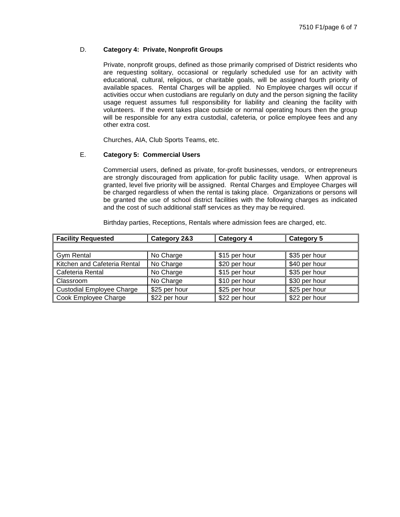# D. **Category 4: Private, Nonprofit Groups**

Private, nonprofit groups, defined as those primarily comprised of District residents who are requesting solitary, occasional or regularly scheduled use for an activity with educational, cultural, religious, or charitable goals, will be assigned fourth priority of available spaces. Rental Charges will be applied. No Employee charges will occur if activities occur when custodians are regularly on duty and the person signing the facility usage request assumes full responsibility for liability and cleaning the facility with volunteers. If the event takes place outside or normal operating hours then the group will be responsible for any extra custodial, cafeteria, or police employee fees and any other extra cost.

Churches, AIA, Club Sports Teams, etc.

# E. **Category 5: Commercial Users**

Commercial users, defined as private, for-profit businesses, vendors, or entrepreneurs are strongly discouraged from application for public facility usage. When approval is granted, level five priority will be assigned. Rental Charges and Employee Charges will be charged regardless of when the rental is taking place. Organizations or persons will be granted the use of school district facilities with the following charges as indicated and the cost of such additional staff services as they may be required.

Birthday parties, Receptions, Rentals where admission fees are charged, etc.

| <b>Facility Requested</b>        | Category 2&3  | Category 4    | Category 5    |
|----------------------------------|---------------|---------------|---------------|
|                                  |               |               |               |
| <b>Gym Rental</b>                | No Charge     | \$15 per hour | \$35 per hour |
| Kitchen and Cafeteria Rental     | No Charge     | \$20 per hour | \$40 per hour |
| Cafeteria Rental                 | No Charge     | \$15 per hour | \$35 per hour |
| Classroom                        | No Charge     | \$10 per hour | \$30 per hour |
| <b>Custodial Employee Charge</b> | \$25 per hour | \$25 per hour | \$25 per hour |
| Cook Employee Charge             | \$22 per hour | \$22 per hour | \$22 per hour |